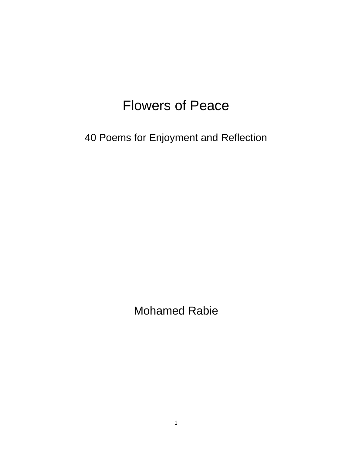# Flowers of Peace

40 Poems for Enjoyment and Reflection

Mohamed Rabie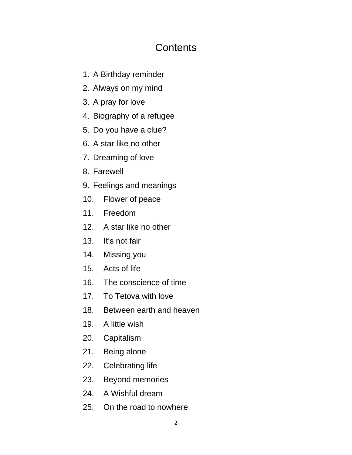## **Contents**

- 1. A Birthday reminder
- 2. Always on my mind
- 3. A pray for love
- 4. Biography of a refugee
- 5. Do you have a clue?
- 6. A star like no other
- 7. Dreaming of love
- 8. Farewell
- 9. Feelings and meanings
- 10. Flower of peace
- 11. Freedom
- 12. A star like no other
- 13. It's not fair
- 14. Missing you
- 15. Acts of life
- 16. The conscience of time
- 17. To Tetova with love
- 18. Between earth and heaven
- 19. A little wish
- 20. Capitalism
- 21. Being alone
- 22. Celebrating life
- 23. Beyond memories
- 24. A Wishful dream
- 25. On the road to nowhere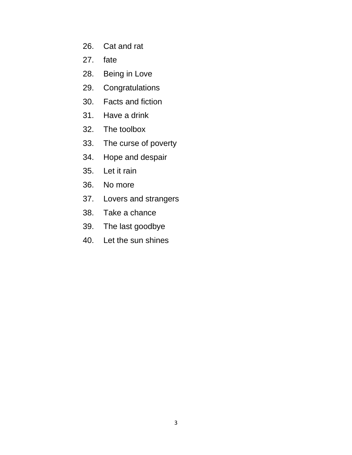- 26. Cat and rat
- 27. fate
- 28. Being in Love
- 29. Congratulations
- 30. Facts and fiction
- 31. Have a drink
- 32. The toolbox
- 33. The curse of poverty
- 34. Hope and despair
- 35. Let it rain
- 36. No more
- 37. Lovers and strangers
- 38. Take a chance
- 39. The last goodbye
- 40. Let the sun shines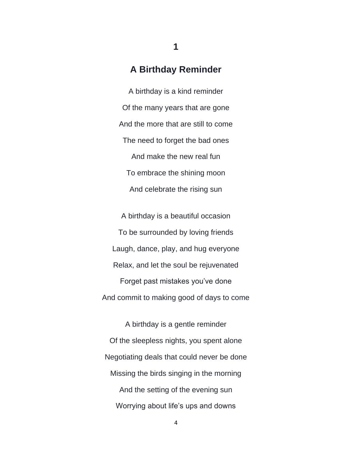#### **A Birthday Reminder**

A birthday is a kind reminder Of the many years that are gone And the more that are still to come The need to forget the bad ones And make the new real fun To embrace the shining moon And celebrate the rising sun

A birthday is a beautiful occasion To be surrounded by loving friends Laugh, dance, play, and hug everyone Relax, and let the soul be rejuvenated Forget past mistakes you've done And commit to making good of days to come

A birthday is a gentle reminder Of the sleepless nights, you spent alone Negotiating deals that could never be done Missing the birds singing in the morning And the setting of the evening sun Worrying about life's ups and downs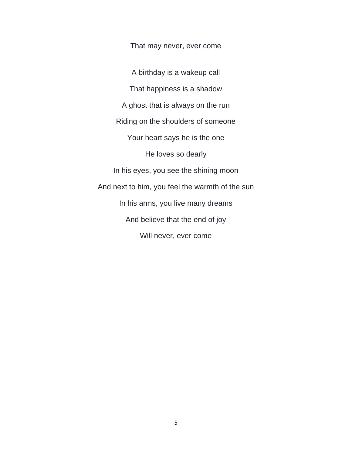That may never, ever come

A birthday is a wakeup call That happiness is a shadow A ghost that is always on the run Riding on the shoulders of someone Your heart says he is the one He loves so dearly In his eyes, you see the shining moon And next to him, you feel the warmth of the sun In his arms, you live many dreams And believe that the end of joy Will never, ever come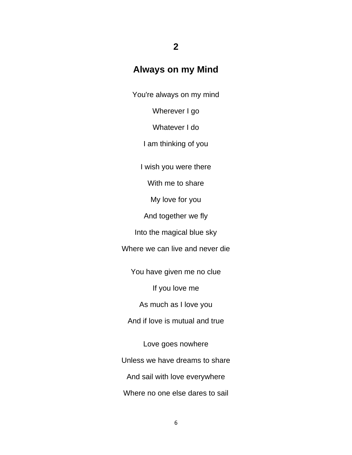## **Always on my Mind**

**2**

You're always on my mind

Wherever I go

Whatever I do

I am thinking of you

I wish you were there

With me to share

My love for you

And together we fly

Into the magical blue sky

Where we can live and never die

You have given me no clue

If you love me

As much as I love you

And if love is mutual and true

Love goes nowhere Unless we have dreams to share And sail with love everywhere Where no one else dares to sail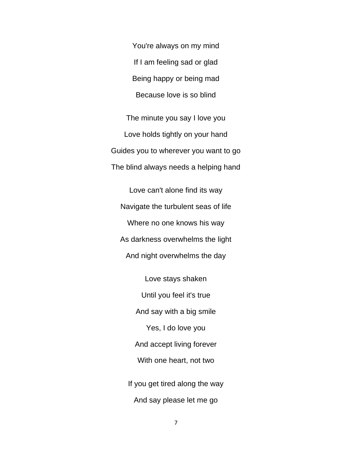You're always on my mind If I am feeling sad or glad Being happy or being mad Because love is so blind

The minute you say I love you Love holds tightly on your hand Guides you to wherever you want to go The blind always needs a helping hand

Love can't alone find its way Navigate the turbulent seas of life Where no one knows his way As darkness overwhelms the light And night overwhelms the day

Love stays shaken Until you feel it's true And say with a big smile Yes, I do love you And accept living forever With one heart, not two If you get tired along the way And say please let me go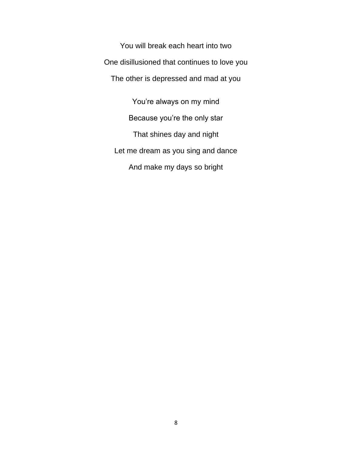You will break each heart into two One disillusioned that continues to love you The other is depressed and mad at you

You're always on my mind Because you're the only star That shines day and night Let me dream as you sing and dance And make my days so bright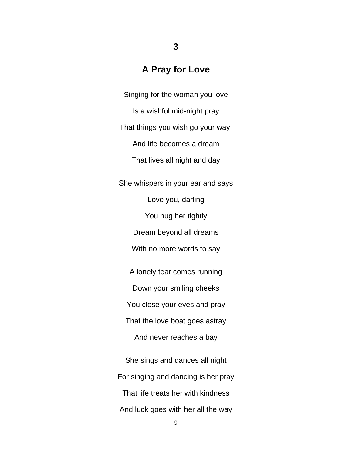#### **A Pray for Love**

Singing for the woman you love Is a wishful mid-night pray That things you wish go your way And life becomes a dream That lives all night and day She whispers in your ear and says Love you, darling You hug her tightly Dream beyond all dreams With no more words to say A lonely tear comes running Down your smiling cheeks You close your eyes and pray That the love boat goes astray And never reaches a bay

She sings and dances all night For singing and dancing is her pray That life treats her with kindness And luck goes with her all the way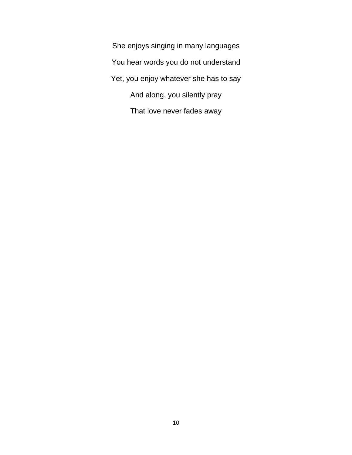She enjoys singing in many languages You hear words you do not understand Yet, you enjoy whatever she has to say And along, you silently pray That love never fades away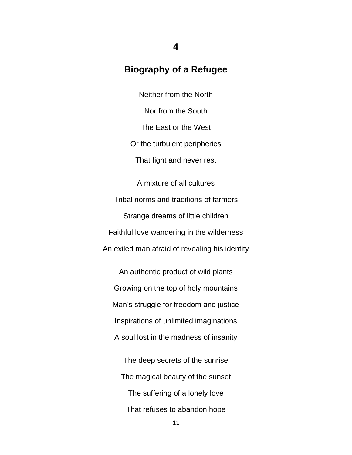#### **Biography of a Refugee**

Neither from the North Nor from the South The East or the West Or the turbulent peripheries That fight and never rest

A mixture of all cultures Tribal norms and traditions of farmers Strange dreams of little children Faithful love wandering in the wilderness An exiled man afraid of revealing his identity

An authentic product of wild plants Growing on the top of holy mountains Man's struggle for freedom and justice Inspirations of unlimited imaginations A soul lost in the madness of insanity

The deep secrets of the sunrise The magical beauty of the sunset The suffering of a lonely love That refuses to abandon hope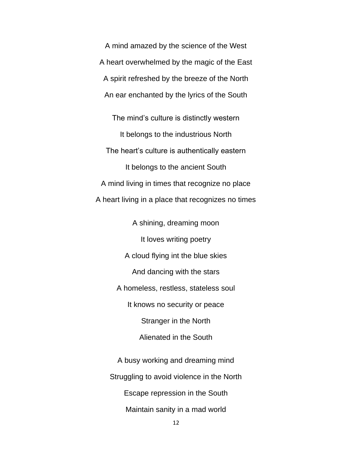A mind amazed by the science of the West A heart overwhelmed by the magic of the East A spirit refreshed by the breeze of the North An ear enchanted by the lyrics of the South

The mind's culture is distinctly western It belongs to the industrious North The heart's culture is authentically eastern It belongs to the ancient South A mind living in times that recognize no place A heart living in a place that recognizes no times

> A shining, dreaming moon It loves writing poetry A cloud flying int the blue skies And dancing with the stars A homeless, restless, stateless soul It knows no security or peace Stranger in the North Alienated in the South

A busy working and dreaming mind Struggling to avoid violence in the North Escape repression in the South Maintain sanity in a mad world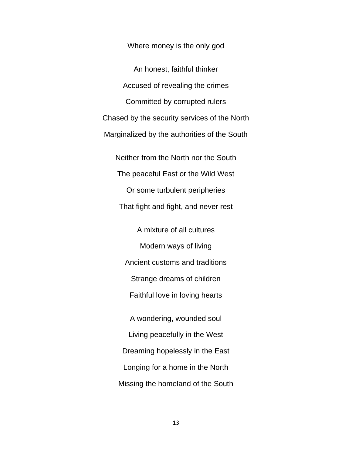Where money is the only god

An honest, faithful thinker Accused of revealing the crimes Committed by corrupted rulers Chased by the security services of the North Marginalized by the authorities of the South Neither from the North nor the South The peaceful East or the Wild West Or some turbulent peripheries That fight and fight, and never rest A mixture of all cultures Modern ways of living Ancient customs and traditions Strange dreams of children Faithful love in loving hearts A wondering, wounded soul Living peacefully in the West Dreaming hopelessly in the East Longing for a home in the North

Missing the homeland of the South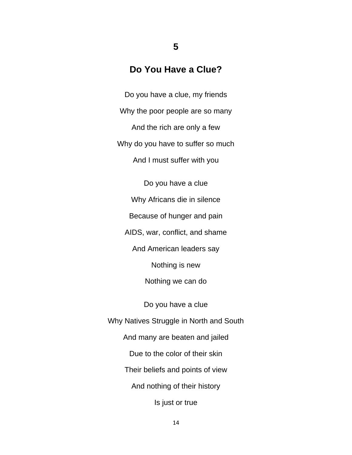### **Do You Have a Clue?**

**5**

Do you have a clue, my friends Why the poor people are so many And the rich are only a few Why do you have to suffer so much And I must suffer with you

Do you have a clue Why Africans die in silence Because of hunger and pain AIDS, war, conflict, and shame And American leaders say Nothing is new Nothing we can do Do you have a clue Why Natives Struggle in North and South And many are beaten and jailed Due to the color of their skin Their beliefs and points of view And nothing of their history Is just or true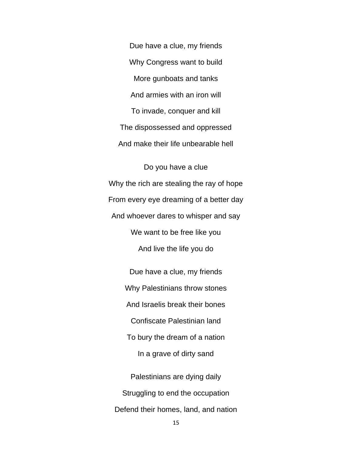Due have a clue, my friends Why Congress want to build More gunboats and tanks And armies with an iron will To invade, conquer and kill The dispossessed and oppressed And make their life unbearable hell

Do you have a clue Why the rich are stealing the ray of hope From every eye dreaming of a better day And whoever dares to whisper and say We want to be free like you And live the life you do

> Due have a clue, my friends Why Palestinians throw stones And Israelis break their bones Confiscate Palestinian land To bury the dream of a nation In a grave of dirty sand Palestinians are dying daily Struggling to end the occupation

Defend their homes, land, and nation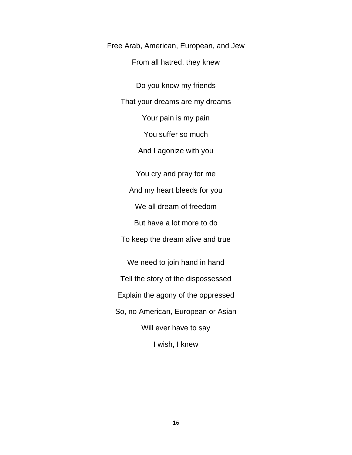Free Arab, American, European, and Jew From all hatred, they knew

Do you know my friends That your dreams are my dreams Your pain is my pain You suffer so much And I agonize with you You cry and pray for me

And my heart bleeds for you

We all dream of freedom

But have a lot more to do

To keep the dream alive and true

We need to join hand in hand Tell the story of the dispossessed Explain the agony of the oppressed So, no American, European or Asian Will ever have to say I wish, I knew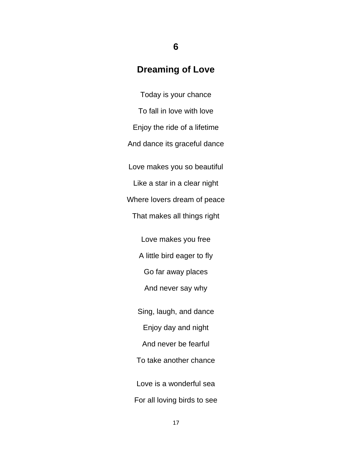#### **Dreaming of Love**

**6**

Today is your chance To fall in love with love Enjoy the ride of a lifetime And dance its graceful dance Love makes you so beautiful Like a star in a clear night Where lovers dream of peace That makes all things right Love makes you free A little bird eager to fly Go far away places And never say why Sing, laugh, and dance Enjoy day and night And never be fearful To take another chance Love is a wonderful sea For all loving birds to see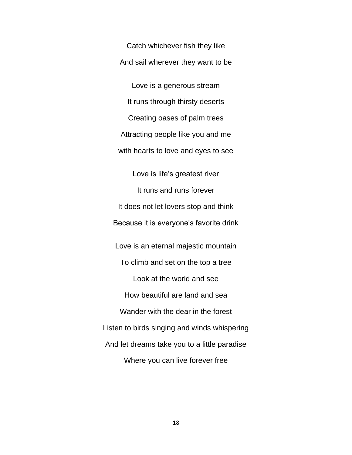Catch whichever fish they like And sail wherever they want to be

Love is a generous stream It runs through thirsty deserts Creating oases of palm trees Attracting people like you and me with hearts to love and eyes to see

Love is life's greatest river It runs and runs forever It does not let lovers stop and think Because it is everyone's favorite drink Love is an eternal majestic mountain To climb and set on the top a tree Look at the world and see How beautiful are land and sea Wander with the dear in the forest Listen to birds singing and winds whispering And let dreams take you to a little paradise Where you can live forever free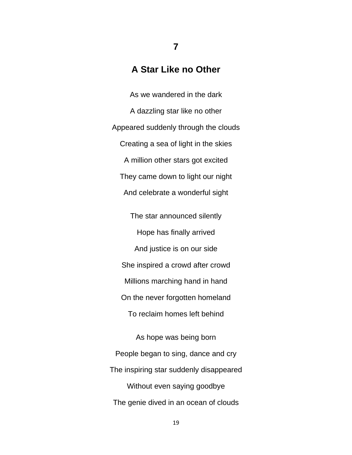#### **A Star Like no Other**

**7**

As we wandered in the dark A dazzling star like no other Appeared suddenly through the clouds Creating a sea of light in the skies A million other stars got excited They came down to light our night And celebrate a wonderful sight The star announced silently Hope has finally arrived And justice is on our side She inspired a crowd after crowd Millions marching hand in hand On the never forgotten homeland

To reclaim homes left behind

As hope was being born People began to sing, dance and cry The inspiring star suddenly disappeared Without even saying goodbye The genie dived in an ocean of clouds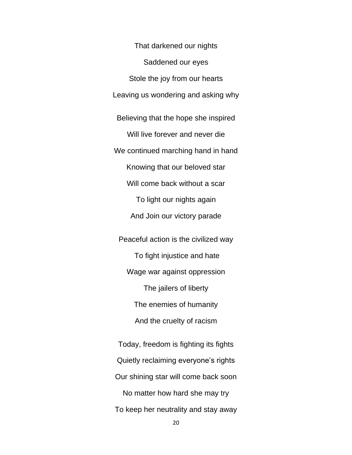That darkened our nights Saddened our eyes Stole the joy from our hearts Leaving us wondering and asking why Believing that the hope she inspired Will live forever and never die We continued marching hand in hand Knowing that our beloved star Will come back without a scar To light our nights again And Join our victory parade Peaceful action is the civilized way To fight injustice and hate Wage war against oppression The jailers of liberty The enemies of humanity

And the cruelty of racism

Today, freedom is fighting its fights Quietly reclaiming everyone's rights Our shining star will come back soon No matter how hard she may try To keep her neutrality and stay away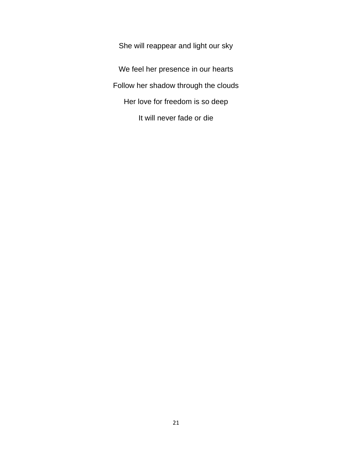She will reappear and light our sky We feel her presence in our hearts Follow her shadow through the clouds Her love for freedom is so deep It will never fade or die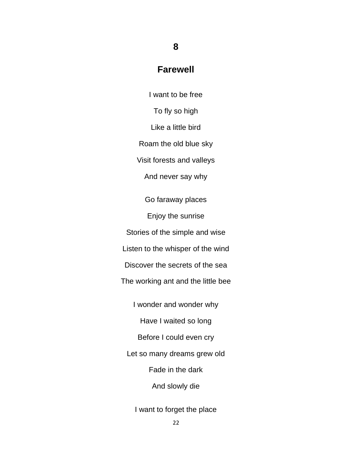#### **Farewell**

**8**

I want to be free To fly so high Like a little bird Roam the old blue sky Visit forests and valleys And never say why Go faraway places Enjoy the sunrise Stories of the simple and wise Listen to the whisper of the wind Discover the secrets of the sea The working ant and the little bee I wonder and wonder why Have I waited so long

Before I could even cry

Let so many dreams grew old

Fade in the dark

And slowly die

I want to forget the place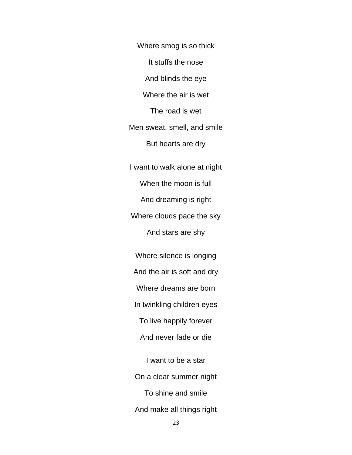Where smog is so thick It stuffs the nose And blinds the eye Where the air is wet The road is wet Men sweat, smell, and smile But hearts are dry I want to walk alone at night When the moon is full And dreaming is right Where clouds pace the sky

And stars are shy

Where silence is longing And the air is soft and dry

Where dreams are born

In twinkling children eyes

To live happily forever

And never fade or die

I want to be a star On a clear summer night To shine and smile And make all things right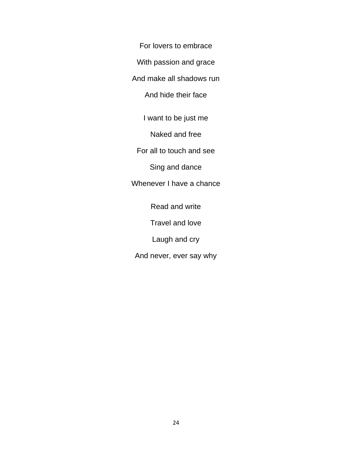For lovers to embrace

With passion and grace

And make all shadows run

And hide their face

I want to be just me

Naked and free

For all to touch and see

Sing and dance

Whenever I have a chance

Read and write

Travel and love

Laugh and cry

And never, ever say why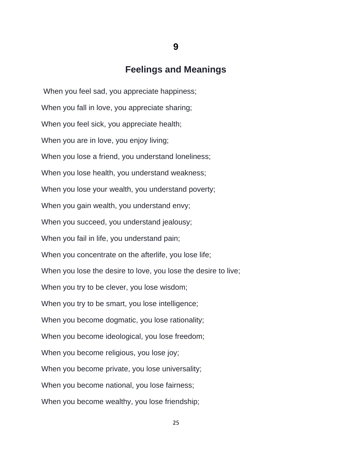#### **Feelings and Meanings**

When you feel sad, you appreciate happiness; When you fall in love, you appreciate sharing; When you feel sick, you appreciate health; When you are in love, you enjoy living; When you lose a friend, you understand loneliness; When you lose health, you understand weakness; When you lose your wealth, you understand poverty; When you gain wealth, you understand envy; When you succeed, you understand jealousy; When you fail in life, you understand pain; When you concentrate on the afterlife, you lose life; When you lose the desire to love, you lose the desire to live; When you try to be clever, you lose wisdom; When you try to be smart, you lose intelligence; When you become dogmatic, you lose rationality; When you become ideological, you lose freedom; When you become religious, you lose joy; When you become private, you lose universality; When you become national, you lose fairness; When you become wealthy, you lose friendship;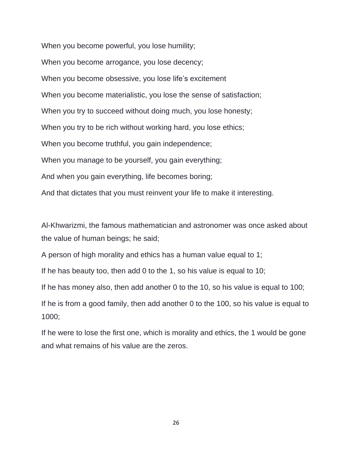When you become powerful, you lose humility; When you become arrogance, you lose decency; When you become obsessive, you lose life's excitement When you become materialistic, you lose the sense of satisfaction; When you try to succeed without doing much, you lose honesty; When you try to be rich without working hard, you lose ethics; When you become truthful, you gain independence; When you manage to be yourself, you gain everything; And when you gain everything, life becomes boring; And that dictates that you must reinvent your life to make it interesting.

Al-Khwarizmi, the famous mathematician and astronomer was once asked about the value of human beings; he said;

A person of high morality and ethics has a human value equal to 1;

If he has beauty too, then add 0 to the 1, so his value is equal to 10;

If he has money also, then add another 0 to the 10, so his value is equal to 100;

If he is from a good family, then add another 0 to the 100, so his value is equal to 1000;

If he were to lose the first one, which is morality and ethics, the 1 would be gone and what remains of his value are the zeros.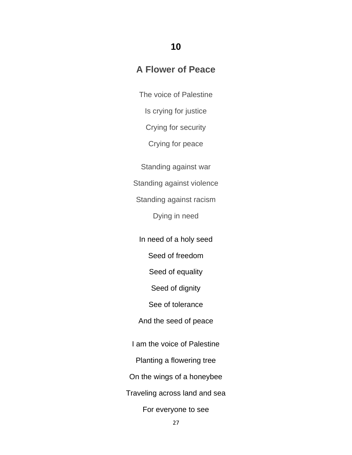#### **10**

## **A Flower of Peace**

The voice of Palestine

Is crying for justice

Crying for security

Crying for peace

Standing against war

Standing against violence

Standing against racism

Dying in need

In need of a holy seed

Seed of freedom

Seed of equality

Seed of dignity

See of tolerance

And the seed of peace

I am the voice of Palestine

Planting a flowering tree

On the wings of a honeybee

Traveling across land and sea

For everyone to see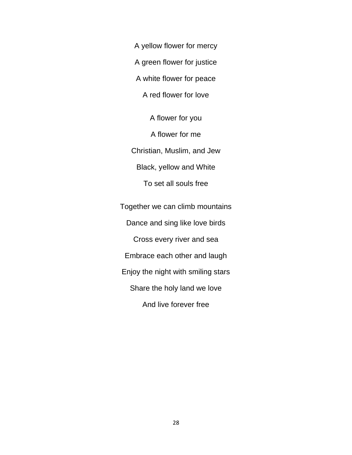A yellow flower for mercy

A green flower for justice

A white flower for peace

A red flower for love

A flower for you A flower for me Christian, Muslim, and Jew Black, yellow and White To set all souls free

Together we can climb mountains Dance and sing like love birds Cross every river and sea Embrace each other and laugh Enjoy the night with smiling stars Share the holy land we love And live forever free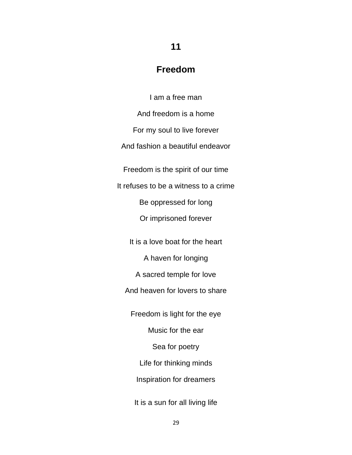#### **Freedom**

**11**

I am a free man And freedom is a home For my soul to live forever And fashion a beautiful endeavor Freedom is the spirit of our time It refuses to be a witness to a crime Be oppressed for long Or imprisoned forever It is a love boat for the heart A haven for longing A sacred temple for love And heaven for lovers to share Freedom is light for the eye Music for the ear Sea for poetry Life for thinking minds Inspiration for dreamers It is a sun for all living life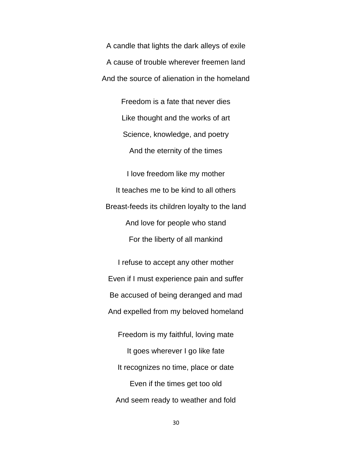A candle that lights the dark alleys of exile A cause of trouble wherever freemen land And the source of alienation in the homeland

> Freedom is a fate that never dies Like thought and the works of art Science, knowledge, and poetry And the eternity of the times

I love freedom like my mother It teaches me to be kind to all others Breast-feeds its children loyalty to the land And love for people who stand For the liberty of all mankind

I refuse to accept any other mother Even if I must experience pain and suffer Be accused of being deranged and mad And expelled from my beloved homeland

Freedom is my faithful, loving mate It goes wherever I go like fate It recognizes no time, place or date Even if the times get too old And seem ready to weather and fold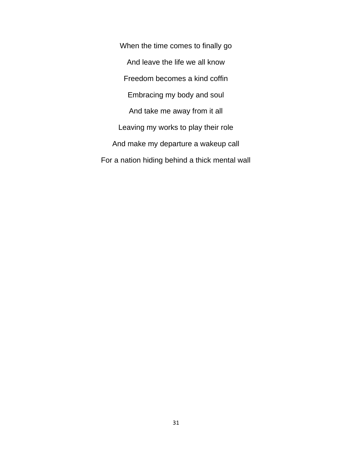When the time comes to finally go And leave the life we all know Freedom becomes a kind coffin Embracing my body and soul And take me away from it all Leaving my works to play their role And make my departure a wakeup call For a nation hiding behind a thick mental wall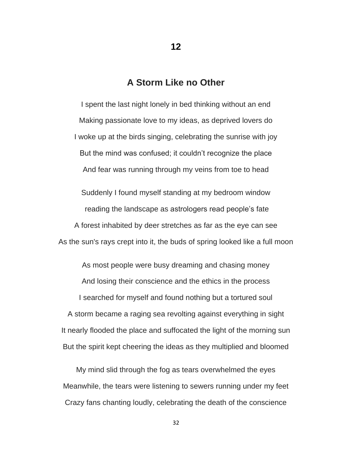#### **A Storm Like no Other**

**12**

I spent the last night lonely in bed thinking without an end Making passionate love to my ideas, as deprived lovers do I woke up at the birds singing, celebrating the sunrise with joy But the mind was confused; it couldn't recognize the place And fear was running through my veins from toe to head

Suddenly I found myself standing at my bedroom window reading the landscape as astrologers read people's fate A forest inhabited by deer stretches as far as the eye can see As the sun's rays crept into it, the buds of spring looked like a full moon

As most people were busy dreaming and chasing money And losing their conscience and the ethics in the process I searched for myself and found nothing but a tortured soul A storm became a raging sea revolting against everything in sight It nearly flooded the place and suffocated the light of the morning sun But the spirit kept cheering the ideas as they multiplied and bloomed

My mind slid through the fog as tears overwhelmed the eyes Meanwhile, the tears were listening to sewers running under my feet Crazy fans chanting loudly, celebrating the death of the conscience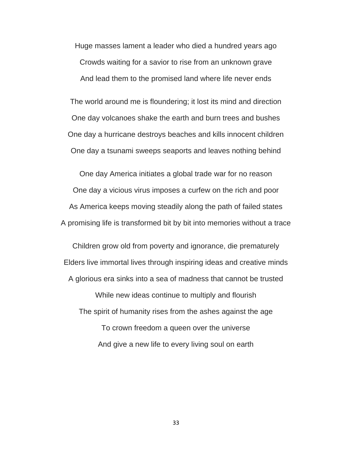Huge masses lament a leader who died a hundred years ago Crowds waiting for a savior to rise from an unknown grave And lead them to the promised land where life never ends

The world around me is floundering; it lost its mind and direction One day volcanoes shake the earth and burn trees and bushes One day a hurricane destroys beaches and kills innocent children One day a tsunami sweeps seaports and leaves nothing behind

One day America initiates a global trade war for no reason One day a vicious virus imposes a curfew on the rich and poor As America keeps moving steadily along the path of failed states A promising life is transformed bit by bit into memories without a trace

Children grow old from poverty and ignorance, die prematurely Elders live immortal lives through inspiring ideas and creative minds A glorious era sinks into a sea of madness that cannot be trusted While new ideas continue to multiply and flourish The spirit of humanity rises from the ashes against the age To crown freedom a queen over the universe And give a new life to every living soul on earth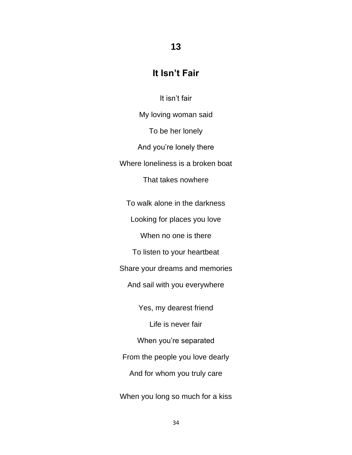## **13**

## **It Isn't Fair**

It isn't fair

My loving woman said To be her lonely And you're lonely there Where loneliness is a broken boat That takes nowhere

To walk alone in the darkness

Looking for places you love

When no one is there

To listen to your heartbeat

Share your dreams and memories

And sail with you everywhere

Yes, my dearest friend

Life is never fair

When you're separated

From the people you love dearly

And for whom you truly care

When you long so much for a kiss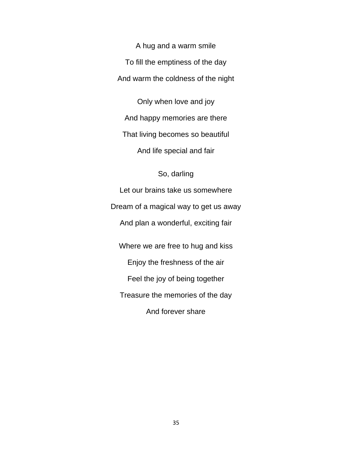A hug and a warm smile To fill the emptiness of the day And warm the coldness of the night

Only when love and joy And happy memories are there That living becomes so beautiful And life special and fair

#### So, darling

Let our brains take us somewhere Dream of a magical way to get us away And plan a wonderful, exciting fair Where we are free to hug and kiss Enjoy the freshness of the air Feel the joy of being together Treasure the memories of the day

And forever share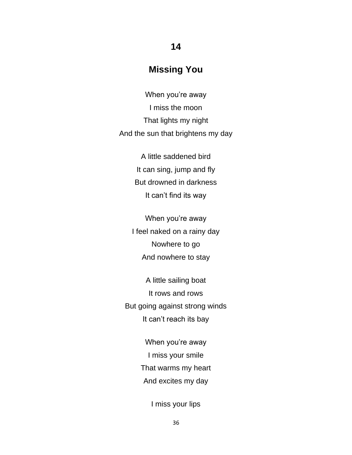## **Missing You**

**14**

When you're away I miss the moon That lights my night And the sun that brightens my day

> A little saddened bird It can sing, jump and fly But drowned in darkness It can't find its way

When you're away I feel naked on a rainy day Nowhere to go And nowhere to stay

A little sailing boat It rows and rows But going against strong winds It can't reach its bay

> When you're away I miss your smile That warms my heart And excites my day

> > I miss your lips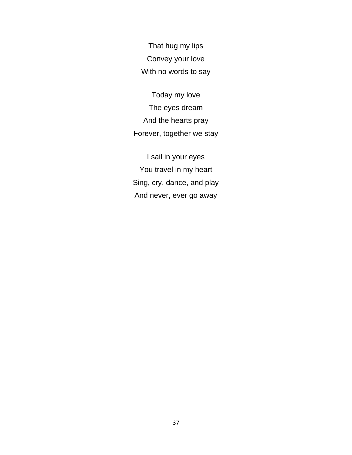That hug my lips Convey your love With no words to say

Today my love The eyes dream And the hearts pray Forever, together we stay

I sail in your eyes You travel in my heart Sing, cry, dance, and play And never, ever go away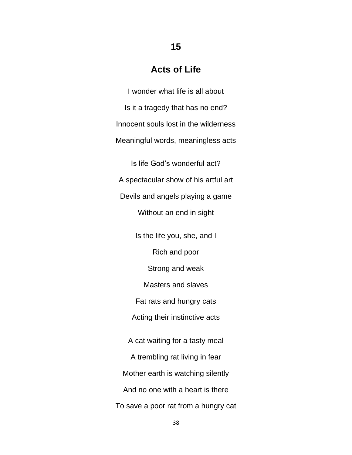# **Acts of Life**

I wonder what life is all about Is it a tragedy that has no end? Innocent souls lost in the wilderness Meaningful words, meaningless acts

Is life God's wonderful act? A spectacular show of his artful art Devils and angels playing a game Without an end in sight

Is the life you, she, and I Rich and poor Strong and weak Masters and slaves Fat rats and hungry cats Acting their instinctive acts A cat waiting for a tasty meal A trembling rat living in fear Mother earth is watching silently And no one with a heart is there To save a poor rat from a hungry cat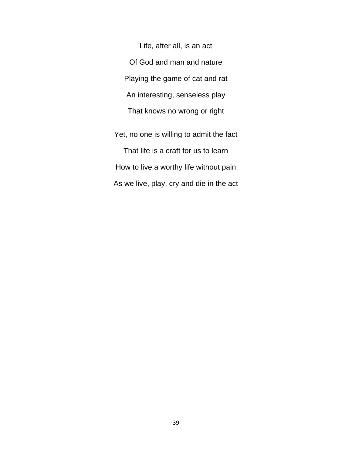Life, after all, is an act Of God and man and nature Playing the game of cat and rat An interesting, senseless play That knows no wrong or right

Yet, no one is willing to admit the fact That life is a craft for us to learn How to live a worthy life without pain As we live, play, cry and die in the act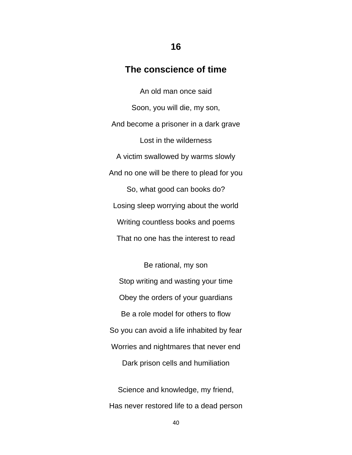### **The conscience of time**

An old man once said Soon, you will die, my son, And become a prisoner in a dark grave Lost in the wilderness A victim swallowed by warms slowly And no one will be there to plead for you So, what good can books do? Losing sleep worrying about the world Writing countless books and poems That no one has the interest to read

Be rational, my son Stop writing and wasting your time Obey the orders of your guardians Be a role model for others to flow So you can avoid a life inhabited by fear Worries and nightmares that never end Dark prison cells and humiliation

Science and knowledge, my friend, Has never restored life to a dead person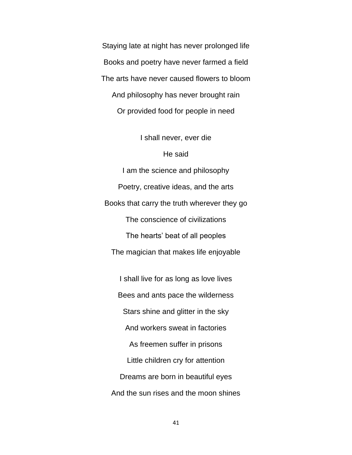Staying late at night has never prolonged life Books and poetry have never farmed a field The arts have never caused flowers to bloom And philosophy has never brought rain Or provided food for people in need

I shall never, ever die

#### He said

I am the science and philosophy Poetry, creative ideas, and the arts Books that carry the truth wherever they go The conscience of civilizations The hearts' beat of all peoples The magician that makes life enjoyable

I shall live for as long as love lives Bees and ants pace the wilderness Stars shine and glitter in the sky And workers sweat in factories As freemen suffer in prisons Little children cry for attention Dreams are born in beautiful eyes And the sun rises and the moon shines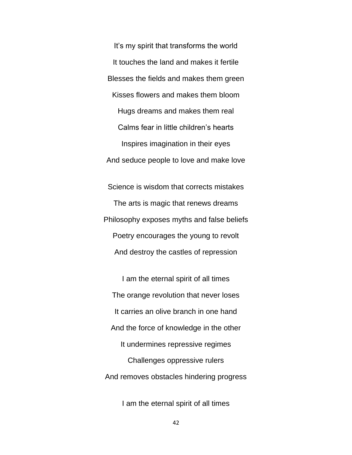It's my spirit that transforms the world It touches the land and makes it fertile Blesses the fields and makes them green Kisses flowers and makes them bloom Hugs dreams and makes them real Calms fear in little children's hearts Inspires imagination in their eyes And seduce people to love and make love

Science is wisdom that corrects mistakes The arts is magic that renews dreams Philosophy exposes myths and false beliefs Poetry encourages the young to revolt And destroy the castles of repression

I am the eternal spirit of all times The orange revolution that never loses It carries an olive branch in one hand And the force of knowledge in the other It undermines repressive regimes Challenges oppressive rulers And removes obstacles hindering progress

I am the eternal spirit of all times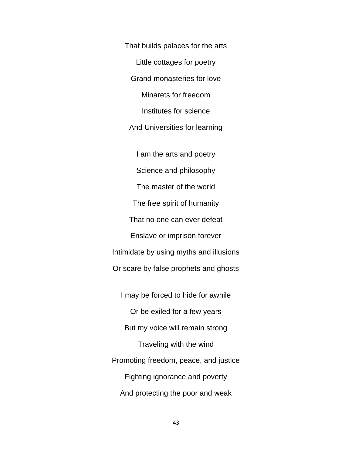That builds palaces for the arts Little cottages for poetry Grand monasteries for love Minarets for freedom Institutes for science And Universities for learning

I am the arts and poetry Science and philosophy The master of the world The free spirit of humanity That no one can ever defeat Enslave or imprison forever Intimidate by using myths and illusions Or scare by false prophets and ghosts

I may be forced to hide for awhile Or be exiled for a few years But my voice will remain strong Traveling with the wind Promoting freedom, peace, and justice Fighting ignorance and poverty And protecting the poor and weak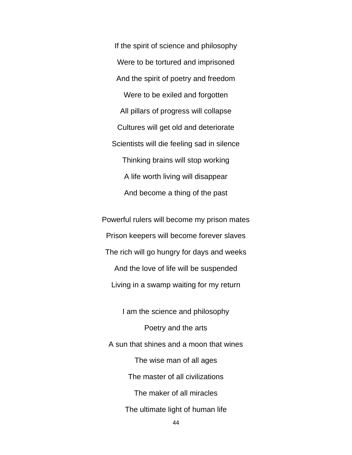If the spirit of science and philosophy Were to be tortured and imprisoned And the spirit of poetry and freedom Were to be exiled and forgotten All pillars of progress will collapse Cultures will get old and deteriorate Scientists will die feeling sad in silence Thinking brains will stop working A life worth living will disappear And become a thing of the past

Powerful rulers will become my prison mates Prison keepers will become forever slaves The rich will go hungry for days and weeks And the love of life will be suspended Living in a swamp waiting for my return

I am the science and philosophy Poetry and the arts A sun that shines and a moon that wines The wise man of all ages The master of all civilizations The maker of all miracles The ultimate light of human life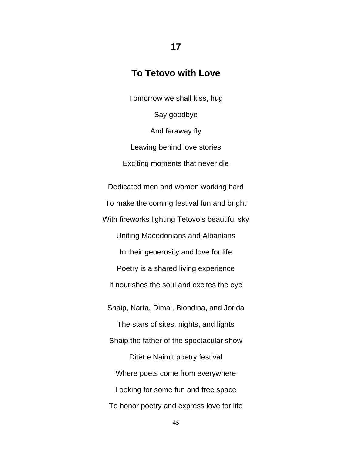# **To Tetovo with Love**

**17**

Tomorrow we shall kiss, hug Say goodbye And faraway fly Leaving behind love stories Exciting moments that never die Dedicated men and women working hard

To make the coming festival fun and bright With fireworks lighting Tetovo's beautiful sky Uniting Macedonians and Albanians In their generosity and love for life Poetry is a shared living experience It nourishes the soul and excites the eye Shaip, Narta, Dimal, Biondina, and Jorida The stars of sites, nights, and lights Shaip the father of the spectacular show Ditët e Naimit poetry festival Where poets come from everywhere Looking for some fun and free space To honor poetry and express love for life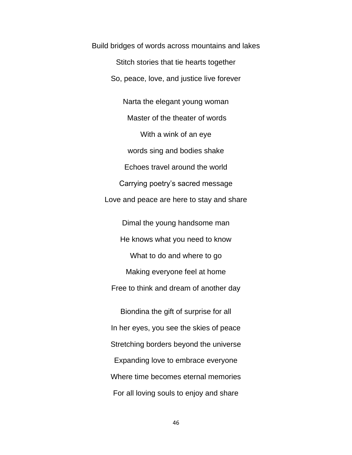Build bridges of words across mountains and lakes Stitch stories that tie hearts together So, peace, love, and justice live forever

Narta the elegant young woman Master of the theater of words With a wink of an eye words sing and bodies shake Echoes travel around the world Carrying poetry's sacred message Love and peace are here to stay and share Dimal the young handsome man

He knows what you need to know What to do and where to go Making everyone feel at home Free to think and dream of another day

Biondina the gift of surprise for all In her eyes, you see the skies of peace Stretching borders beyond the universe Expanding love to embrace everyone Where time becomes eternal memories For all loving souls to enjoy and share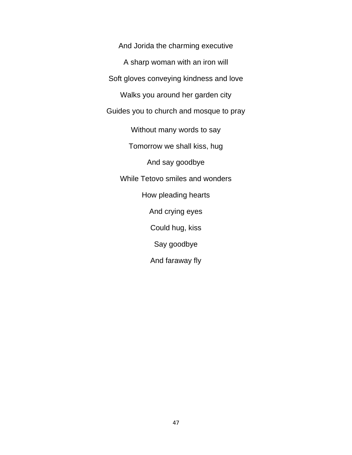And Jorida the charming executive A sharp woman with an iron will Soft gloves conveying kindness and love Walks you around her garden city Guides you to church and mosque to pray Without many words to say Tomorrow we shall kiss, hug And say goodbye While Tetovo smiles and wonders How pleading hearts And crying eyes Could hug, kiss Say goodbye And faraway fly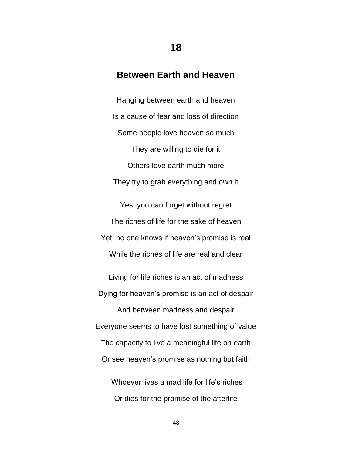# **Between Earth and Heaven**

**18**

Hanging between earth and heaven Is a cause of fear and loss of direction Some people love heaven so much They are willing to die for it Others love earth much more They try to grab everything and own it

Yes, you can forget without regret The riches of life for the sake of heaven Yet, no one knows if heaven's promise is real While the riches of life are real and clear

Living for life riches is an act of madness Dying for heaven's promise is an act of despair And between madness and despair Everyone seems to have lost something of value The capacity to live a meaningful life on earth Or see heaven's promise as nothing but faith Whoever lives a mad life for life's riches

Or dies for the promise of the afterlife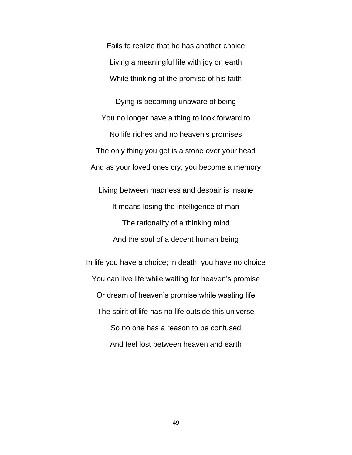Fails to realize that he has another choice Living a meaningful life with joy on earth While thinking of the promise of his faith

Dying is becoming unaware of being You no longer have a thing to look forward to No life riches and no heaven's promises The only thing you get is a stone over your head And as your loved ones cry, you become a memory

Living between madness and despair is insane It means losing the intelligence of man The rationality of a thinking mind And the soul of a decent human being

In life you have a choice; in death, you have no choice You can live life while waiting for heaven's promise Or dream of heaven's promise while wasting life The spirit of life has no life outside this universe So no one has a reason to be confused And feel lost between heaven and earth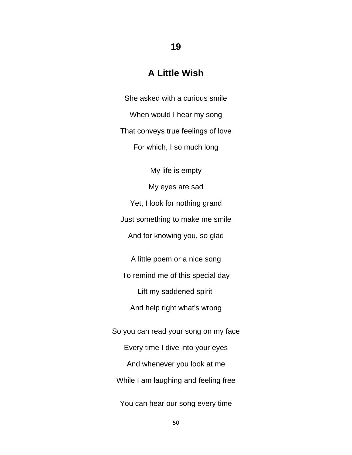#### **A Little Wish**

**19**

She asked with a curious smile When would I hear my song That conveys true feelings of love For which, I so much long

My life is empty

My eyes are sad

Yet, I look for nothing grand

Just something to make me smile

And for knowing you, so glad

A little poem or a nice song

To remind me of this special day

Lift my saddened spirit

And help right what's wrong

So you can read your song on my face Every time I dive into your eyes And whenever you look at me While I am laughing and feeling free

You can hear our song every time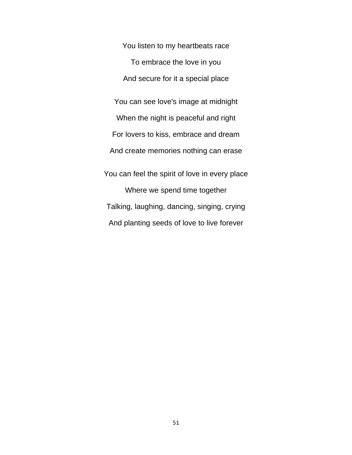You listen to my heartbeats race To embrace the love in you And secure for it a special place You can see love's image at midnight When the night is peaceful and right For lovers to kiss, embrace and dream And create memories nothing can erase You can feel the spirit of love in every place Where we spend time together Talking, laughing, dancing, singing, crying And planting seeds of love to live forever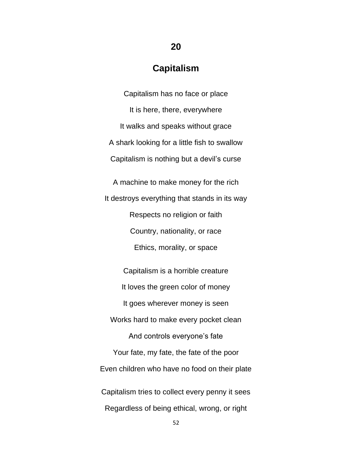# **Capitalism**

**20**

Capitalism has no face or place It is here, there, everywhere It walks and speaks without grace A shark looking for a little fish to swallow Capitalism is nothing but a devil's curse A machine to make money for the rich It destroys everything that stands in its way Respects no religion or faith Country, nationality, or race Ethics, morality, or space

Capitalism is a horrible creature It loves the green color of money It goes wherever money is seen Works hard to make every pocket clean And controls everyone's fate Your fate, my fate, the fate of the poor Even children who have no food on their plate Capitalism tries to collect every penny it sees Regardless of being ethical, wrong, or right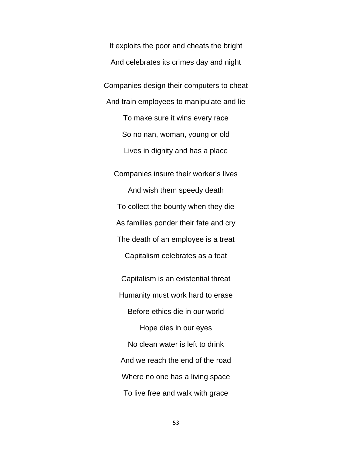It exploits the poor and cheats the bright And celebrates its crimes day and night Companies design their computers to cheat And train employees to manipulate and lie To make sure it wins every race So no nan, woman, young or old Lives in dignity and has a place

Companies insure their worker's lives And wish them speedy death To collect the bounty when they die As families ponder their fate and cry The death of an employee is a treat Capitalism celebrates as a feat

Capitalism is an existential threat Humanity must work hard to erase Before ethics die in our world Hope dies in our eyes No clean water is left to drink And we reach the end of the road Where no one has a living space To live free and walk with grace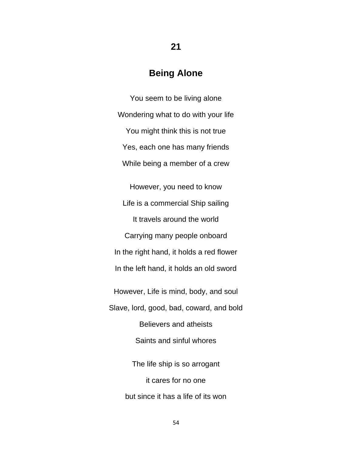### **Being Alone**

**21**

You seem to be living alone Wondering what to do with your life You might think this is not true Yes, each one has many friends While being a member of a crew However, you need to know Life is a commercial Ship sailing It travels around the world Carrying many people onboard In the right hand, it holds a red flower In the left hand, it holds an old sword However, Life is mind, body, and soul Slave, lord, good, bad, coward, and bold Believers and atheists Saints and sinful whores The life ship is so arrogant it cares for no one but since it has a life of its won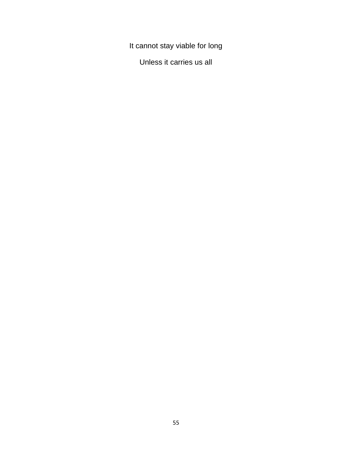It cannot stay viable for long

Unless it carries us all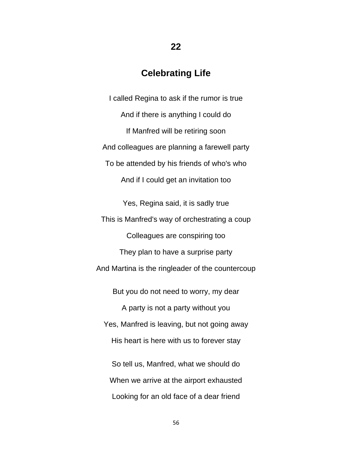### **Celebrating Life**

I called Regina to ask if the rumor is true And if there is anything I could do If Manfred will be retiring soon And colleagues are planning a farewell party To be attended by his friends of who's who And if I could get an invitation too

Yes, Regina said, it is sadly true This is Manfred's way of orchestrating a coup Colleagues are conspiring too They plan to have a surprise party And Martina is the ringleader of the countercoup But you do not need to worry, my dear

A party is not a party without you Yes, Manfred is leaving, but not going away His heart is here with us to forever stay

So tell us, Manfred, what we should do When we arrive at the airport exhausted Looking for an old face of a dear friend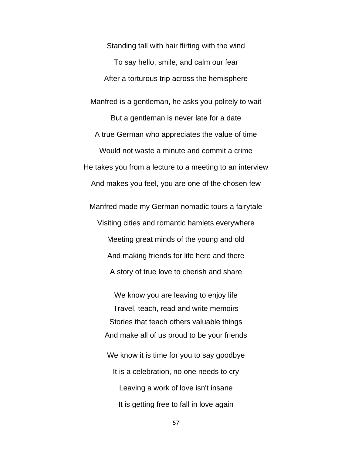Standing tall with hair flirting with the wind To say hello, smile, and calm our fear After a torturous trip across the hemisphere

Manfred is a gentleman, he asks you politely to wait But a gentleman is never late for a date A true German who appreciates the value of time Would not waste a minute and commit a crime He takes you from a lecture to a meeting to an interview And makes you feel, you are one of the chosen few

Manfred made my German nomadic tours a fairytale Visiting cities and romantic hamlets everywhere Meeting great minds of the young and old And making friends for life here and there A story of true love to cherish and share

We know you are leaving to enjoy life Travel, teach, read and write memoirs Stories that teach others valuable things And make all of us proud to be your friends

We know it is time for you to say goodbye It is a celebration, no one needs to cry Leaving a work of love isn't insane It is getting free to fall in love again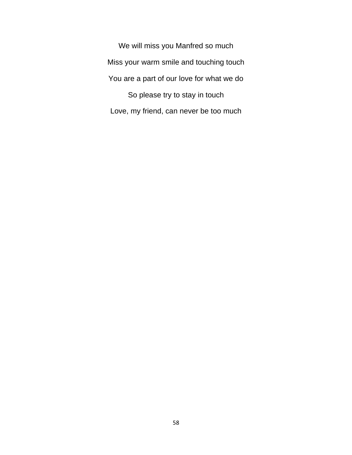We will miss you Manfred so much Miss your warm smile and touching touch You are a part of our love for what we do So please try to stay in touch Love, my friend, can never be too much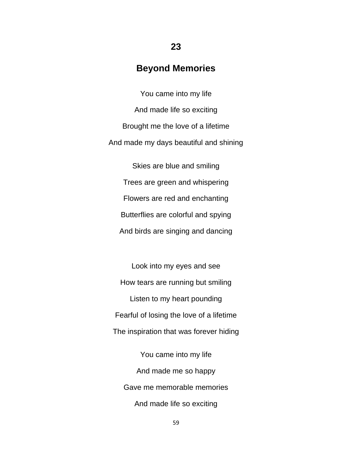## **Beyond Memories**

**23**

You came into my life And made life so exciting Brought me the love of a lifetime And made my days beautiful and shining

Skies are blue and smiling Trees are green and whispering Flowers are red and enchanting Butterflies are colorful and spying And birds are singing and dancing

Look into my eyes and see How tears are running but smiling Listen to my heart pounding Fearful of losing the love of a lifetime The inspiration that was forever hiding

You came into my life And made me so happy Gave me memorable memories And made life so exciting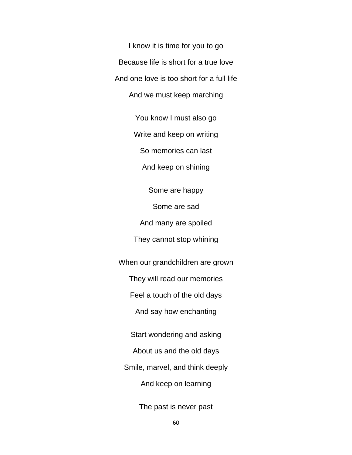I know it is time for you to go Because life is short for a true love And one love is too short for a full life And we must keep marching

You know I must also go

Write and keep on writing

So memories can last

And keep on shining

Some are happy

Some are sad

And many are spoiled

They cannot stop whining

When our grandchildren are grown

They will read our memories

Feel a touch of the old days

And say how enchanting

Start wondering and asking

About us and the old days

Smile, marvel, and think deeply

And keep on learning

The past is never past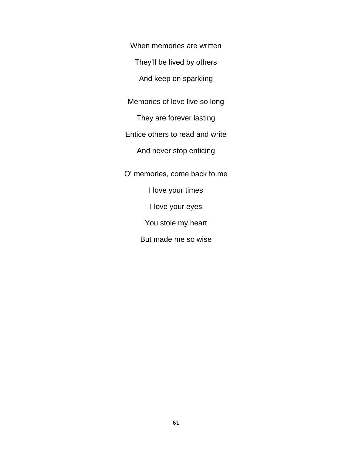When memories are written

They'll be lived by others

And keep on sparkling

Memories of love live so long

They are forever lasting

Entice others to read and write

And never stop enticing

O' memories, come back to me I love your times I love your eyes You stole my heart But made me so wise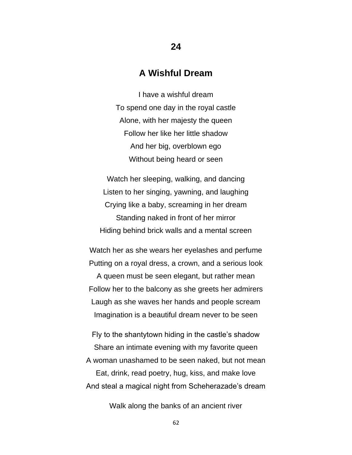#### **A Wishful Dream**

I have a wishful dream To spend one day in the royal castle Alone, with her majesty the queen Follow her like her little shadow And her big, overblown ego Without being heard or seen

Watch her sleeping, walking, and dancing Listen to her singing, yawning, and laughing Crying like a baby, screaming in her dream Standing naked in front of her mirror Hiding behind brick walls and a mental screen

Watch her as she wears her eyelashes and perfume Putting on a royal dress, a crown, and a serious look A queen must be seen elegant, but rather mean Follow her to the balcony as she greets her admirers Laugh as she waves her hands and people scream Imagination is a beautiful dream never to be seen

Fly to the shantytown hiding in the castle's shadow Share an intimate evening with my favorite queen A woman unashamed to be seen naked, but not mean Eat, drink, read poetry, hug, kiss, and make love And steal a magical night from Scheherazade's dream

Walk along the banks of an ancient river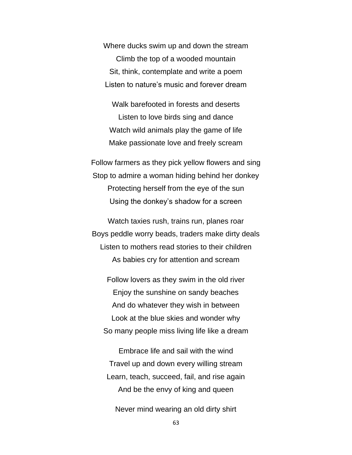Where ducks swim up and down the stream Climb the top of a wooded mountain Sit, think, contemplate and write a poem Listen to nature's music and forever dream

Walk barefooted in forests and deserts Listen to love birds sing and dance Watch wild animals play the game of life Make passionate love and freely scream

Follow farmers as they pick yellow flowers and sing Stop to admire a woman hiding behind her donkey Protecting herself from the eye of the sun Using the donkey's shadow for a screen

Watch taxies rush, trains run, planes roar Boys peddle worry beads, traders make dirty deals Listen to mothers read stories to their children As babies cry for attention and scream

Follow lovers as they swim in the old river Enjoy the sunshine on sandy beaches And do whatever they wish in between Look at the blue skies and wonder why So many people miss living life like a dream

Embrace life and sail with the wind Travel up and down every willing stream Learn, teach, succeed, fail, and rise again And be the envy of king and queen

Never mind wearing an old dirty shirt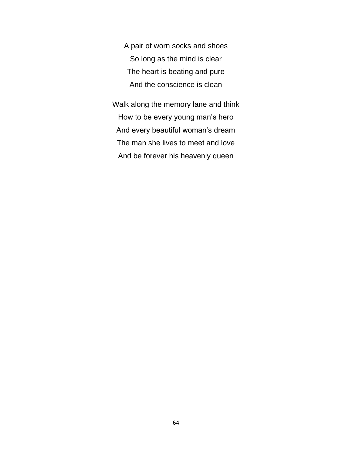A pair of worn socks and shoes So long as the mind is clear The heart is beating and pure And the conscience is clean

Walk along the memory lane and think How to be every young man's hero And every beautiful woman's dream The man she lives to meet and love And be forever his heavenly queen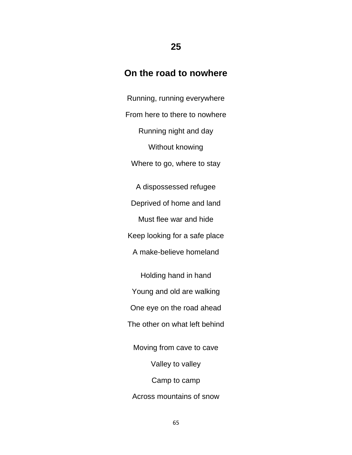## **On the road to nowhere**

**25**

Running, running everywhere From here to there to nowhere Running night and day Without knowing Where to go, where to stay A dispossessed refugee Deprived of home and land Must flee war and hide Keep looking for a safe place A make-believe homeland Holding hand in hand Young and old are walking One eye on the road ahead The other on what left behind Moving from cave to cave Valley to valley Camp to camp Across mountains of snow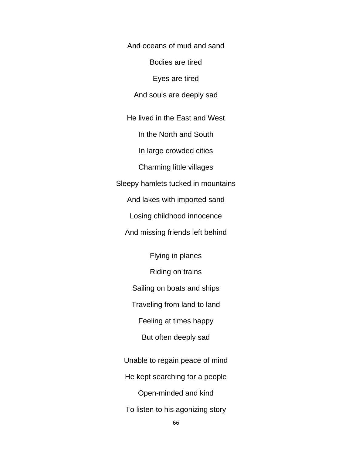And oceans of mud and sand

Bodies are tired

Eyes are tired

And souls are deeply sad

He lived in the East and West

In the North and South

In large crowded cities

Charming little villages

Sleepy hamlets tucked in mountains

And lakes with imported sand

Losing childhood innocence

And missing friends left behind

Flying in planes Riding on trains

Sailing on boats and ships

Traveling from land to land

Feeling at times happy

But often deeply sad

Unable to regain peace of mind He kept searching for a people Open-minded and kind To listen to his agonizing story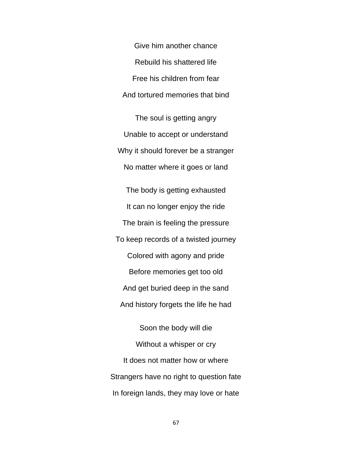Give him another chance Rebuild his shattered life Free his children from fear And tortured memories that bind

The soul is getting angry Unable to accept or understand Why it should forever be a stranger No matter where it goes or land

The body is getting exhausted It can no longer enjoy the ride The brain is feeling the pressure To keep records of a twisted journey Colored with agony and pride Before memories get too old And get buried deep in the sand And history forgets the life he had

Soon the body will die Without a whisper or cry It does not matter how or where Strangers have no right to question fate In foreign lands, they may love or hate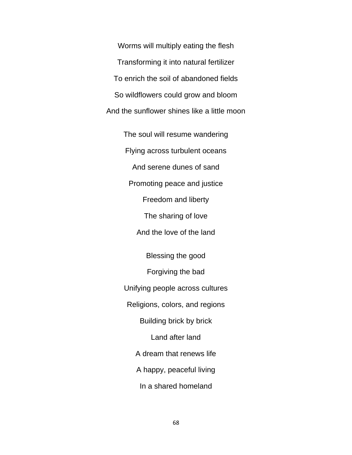Worms will multiply eating the flesh Transforming it into natural fertilizer To enrich the soil of abandoned fields So wildflowers could grow and bloom And the sunflower shines like a little moon

> The soul will resume wandering Flying across turbulent oceans And serene dunes of sand Promoting peace and justice Freedom and liberty The sharing of love And the love of the land Blessing the good Forgiving the bad Unifying people across cultures Religions, colors, and regions Building brick by brick Land after land A dream that renews life

> > A happy, peaceful living

In a shared homeland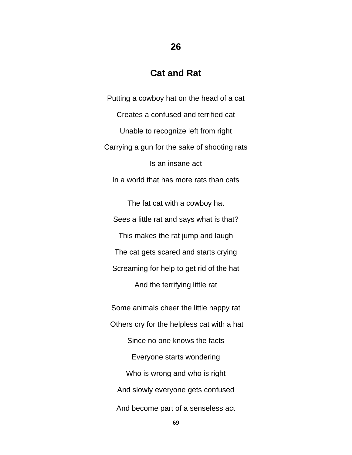## **Cat and Rat**

**26**

Putting a cowboy hat on the head of a cat Creates a confused and terrified cat Unable to recognize left from right Carrying a gun for the sake of shooting rats Is an insane act In a world that has more rats than cats

The fat cat with a cowboy hat Sees a little rat and says what is that? This makes the rat jump and laugh The cat gets scared and starts crying Screaming for help to get rid of the hat And the terrifying little rat

Some animals cheer the little happy rat Others cry for the helpless cat with a hat Since no one knows the facts Everyone starts wondering Who is wrong and who is right And slowly everyone gets confused And become part of a senseless act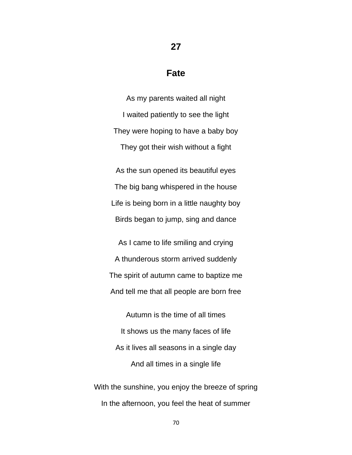#### **27**

#### **Fate**

As my parents waited all night I waited patiently to see the light They were hoping to have a baby boy They got their wish without a fight

As the sun opened its beautiful eyes The big bang whispered in the house Life is being born in a little naughty boy Birds began to jump, sing and dance

As I came to life smiling and crying A thunderous storm arrived suddenly The spirit of autumn came to baptize me And tell me that all people are born free

Autumn is the time of all times It shows us the many faces of life As it lives all seasons in a single day And all times in a single life

With the sunshine, you enjoy the breeze of spring In the afternoon, you feel the heat of summer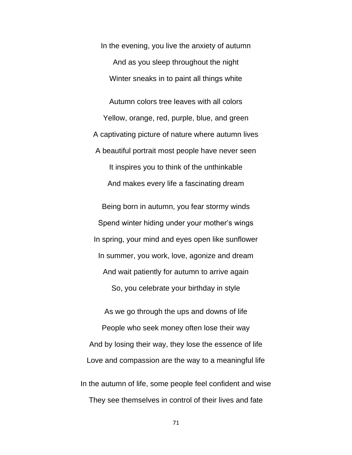In the evening, you live the anxiety of autumn And as you sleep throughout the night Winter sneaks in to paint all things white

Autumn colors tree leaves with all colors Yellow, orange, red, purple, blue, and green A captivating picture of nature where autumn lives A beautiful portrait most people have never seen It inspires you to think of the unthinkable And makes every life a fascinating dream

Being born in autumn, you fear stormy winds Spend winter hiding under your mother's wings In spring, your mind and eyes open like sunflower In summer, you work, love, agonize and dream And wait patiently for autumn to arrive again So, you celebrate your birthday in style

As we go through the ups and downs of life People who seek money often lose their way And by losing their way, they lose the essence of life Love and compassion are the way to a meaningful life In the autumn of life, some people feel confident and wise They see themselves in control of their lives and fate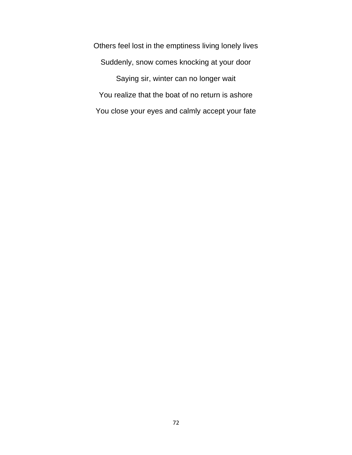Others feel lost in the emptiness living lonely lives Suddenly, snow comes knocking at your door Saying sir, winter can no longer wait You realize that the boat of no return is ashore You close your eyes and calmly accept your fate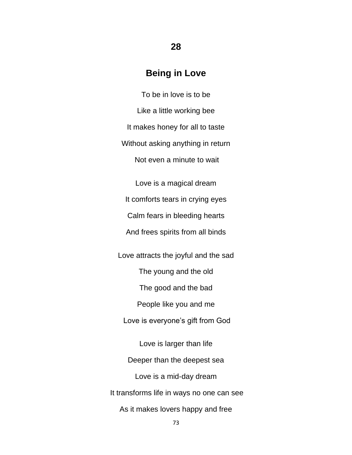# **Being in Love**

To be in love is to be Like a little working bee It makes honey for all to taste Without asking anything in return Not even a minute to wait

Love is a magical dream It comforts tears in crying eyes Calm fears in bleeding hearts And frees spirits from all binds

Love attracts the joyful and the sad The young and the old The good and the bad People like you and me Love is everyone's gift from God Love is larger than life Deeper than the deepest sea Love is a mid-day dream It transforms life in ways no one can see As it makes lovers happy and free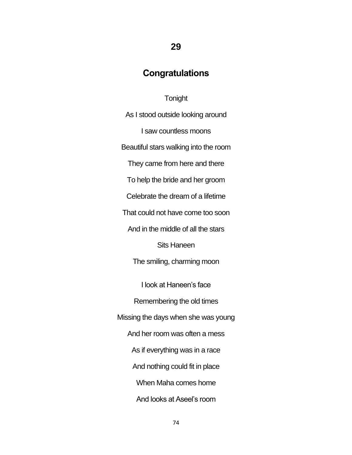## **29**

#### **Congratulations**

#### **Tonight**

As I stood outside looking around I saw countless moons Beautiful stars walking into the room They came from here and there To help the bride and her groom Celebrate the dream of a lifetime That could not have come too soon And in the middle of all the stars Sits Haneen The smiling, charming moon I look at Haneen's face Remembering the old times Missing the days when she was young And her room was often a mess As if everything was in a race And nothing could fit in place When Maha comes home And looks at Aseel's room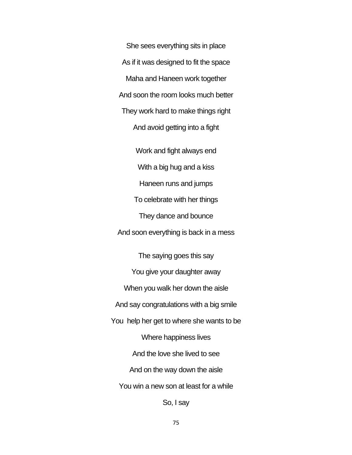She sees everything sits in place As if it was designed to fit the space Maha and Haneen work together And soon the room looks much better They work hard to make things right And avoid getting into a fight Work and fight always end With a big hug and a kiss Haneen runs and jumps To celebrate with her things They dance and bounce And soon everything is back in a mess

The saying goes this say You give your daughter away When you walk her down the aisle And say congratulations with a big smile You help her get to where she wants to be Where happiness lives And the love she lived to see And on the way down the aisle You win a new son at least for a while So, I say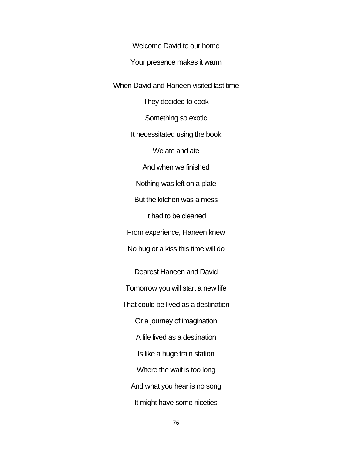Welcome David to our home

Your presence makes it warm

When David and Haneen visited last time

They decided to cook

Something so exotic

It necessitated using the book

We ate and ate

And when we finished

Nothing was left on a plate

But the kitchen was a mess

It had to be cleaned

From experience, Haneen knew

No hug or a kiss this time will do

Dearest Haneen and David Tomorrow you will start a new life That could be lived as a destination Or a journey of imagination A life lived as a destination Is like a huge train station Where the wait is too long And what you hear is no song It might have some niceties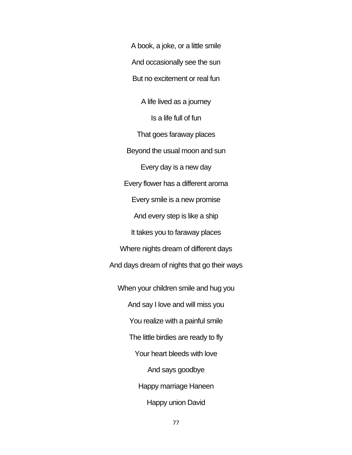A book, a joke, or a little smile And occasionally see the sun But no excitement or real fun A life lived as a journey Is a life full of fun That goes faraway places Beyond the usual moon and sun Every day is a new day Every flower has a different aroma Every smile is a new promise And every step is like a ship It takes you to faraway places Where nights dream of different days And days dream of nights that go their ways When your children smile and hug you And say I love and will miss you You realize with a painful smile The little birdies are ready to fly Your heart bleeds with love And says goodbye Happy marriage Haneen Happy union David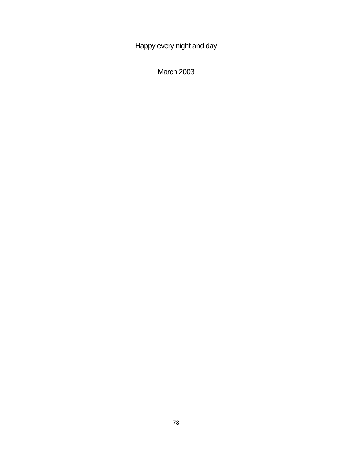Happy every night and day

March 2003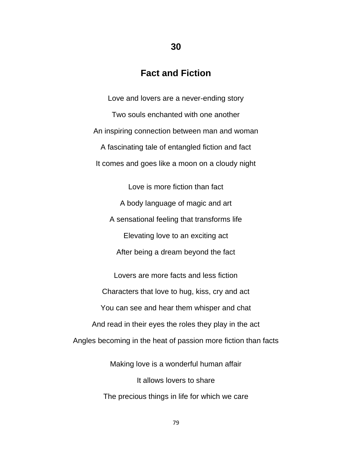#### **Fact and Fiction**

Love and lovers are a never-ending story Two souls enchanted with one another An inspiring connection between man and woman A fascinating tale of entangled fiction and fact It comes and goes like a moon on a cloudy night

Love is more fiction than fact A body language of magic and art A sensational feeling that transforms life Elevating love to an exciting act After being a dream beyond the fact

Lovers are more facts and less fiction Characters that love to hug, kiss, cry and act You can see and hear them whisper and chat And read in their eyes the roles they play in the act Angles becoming in the heat of passion more fiction than facts

> Making love is a wonderful human affair It allows lovers to share The precious things in life for which we care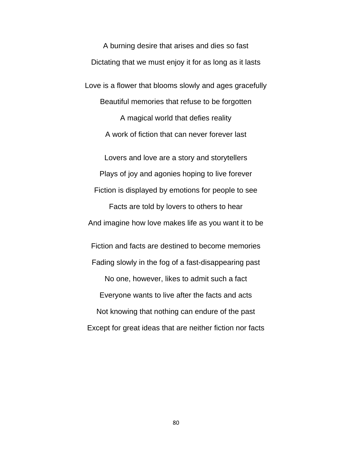A burning desire that arises and dies so fast Dictating that we must enjoy it for as long as it lasts Love is a flower that blooms slowly and ages gracefully Beautiful memories that refuse to be forgotten A magical world that defies reality A work of fiction that can never forever last Lovers and love are a story and storytellers Plays of joy and agonies hoping to live forever Fiction is displayed by emotions for people to see Facts are told by lovers to others to hear And imagine how love makes life as you want it to be Fiction and facts are destined to become memories Fading slowly in the fog of a fast-disappearing past No one, however, likes to admit such a fact Everyone wants to live after the facts and acts Not knowing that nothing can endure of the past Except for great ideas that are neither fiction nor facts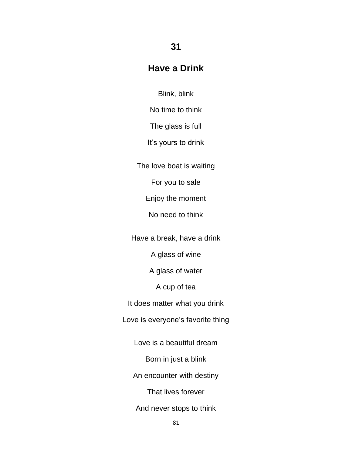### **Have a Drink**

**31**

Blink, blink

No time to think

The glass is full

It's yours to drink

The love boat is waiting

For you to sale

Enjoy the moment

No need to think

Have a break, have a drink

A glass of wine

A glass of water

A cup of tea

It does matter what you drink

Love is everyone's favorite thing

Love is a beautiful dream

Born in just a blink

An encounter with destiny

That lives forever

And never stops to think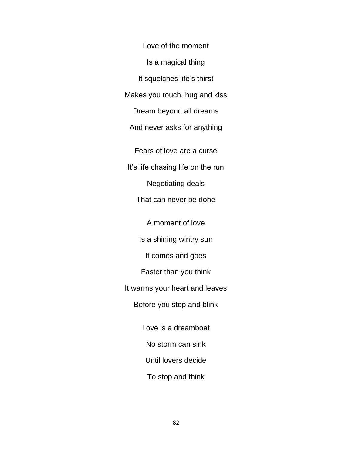Love of the moment Is a magical thing It squelches life's thirst Makes you touch, hug and kiss Dream beyond all dreams And never asks for anything Fears of love are a curse It's life chasing life on the run Negotiating deals That can never be done A moment of love Is a shining wintry sun It comes and goes Faster than you think It warms your heart and leaves Before you stop and blink Love is a dreamboat No storm can sink Until lovers decide To stop and think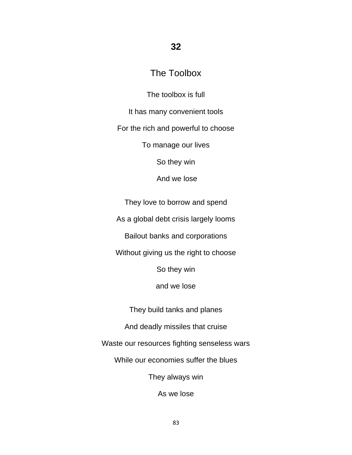#### **32**

## The Toolbox

The toolbox is full

It has many convenient tools

For the rich and powerful to choose

To manage our lives

So they win

And we lose

They love to borrow and spend

As a global debt crisis largely looms

Bailout banks and corporations

Without giving us the right to choose

So they win

and we lose

They build tanks and planes

And deadly missiles that cruise

Waste our resources fighting senseless wars

While our economies suffer the blues

They always win

As we lose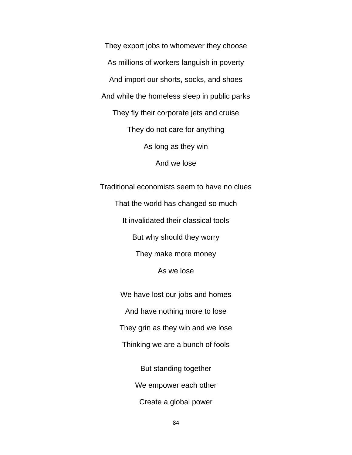They export jobs to whomever they choose As millions of workers languish in poverty And import our shorts, socks, and shoes And while the homeless sleep in public parks They fly their corporate jets and cruise They do not care for anything As long as they win And we lose

Traditional economists seem to have no clues That the world has changed so much It invalidated their classical tools But why should they worry They make more money As we lose

> We have lost our jobs and homes And have nothing more to lose They grin as they win and we lose Thinking we are a bunch of fools But standing together

> > We empower each other

Create a global power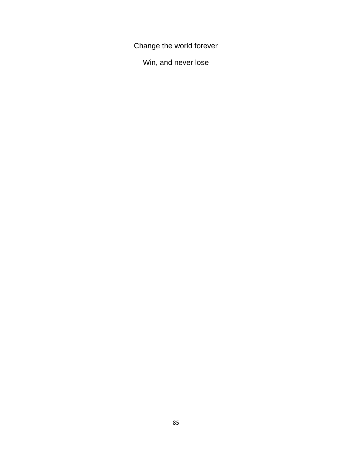Change the world forever

Win, and never lose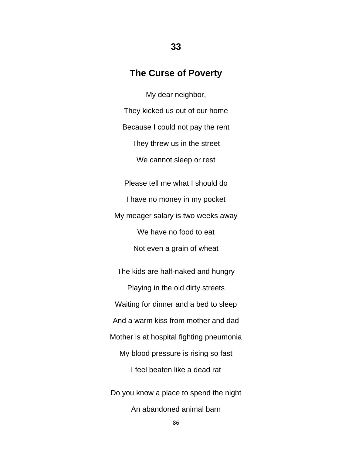#### **The Curse of Poverty**

My dear neighbor, They kicked us out of our home Because I could not pay the rent They threw us in the street We cannot sleep or rest Please tell me what I should do

I have no money in my pocket My meager salary is two weeks away We have no food to eat Not even a grain of wheat

The kids are half-naked and hungry Playing in the old dirty streets Waiting for dinner and a bed to sleep And a warm kiss from mother and dad Mother is at hospital fighting pneumonia My blood pressure is rising so fast I feel beaten like a dead rat Do you know a place to spend the night An abandoned animal barn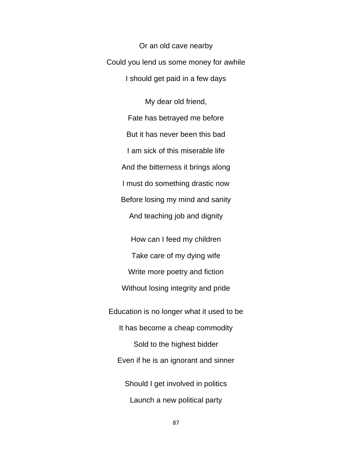Or an old cave nearby Could you lend us some money for awhile I should get paid in a few days

> My dear old friend, Fate has betrayed me before But it has never been this bad I am sick of this miserable life And the bitterness it brings along I must do something drastic now Before losing my mind and sanity And teaching job and dignity

How can I feed my children Take care of my dying wife Write more poetry and fiction Without losing integrity and pride Education is no longer what it used to be It has become a cheap commodity Sold to the highest bidder Even if he is an ignorant and sinner Should I get involved in politics Launch a new political party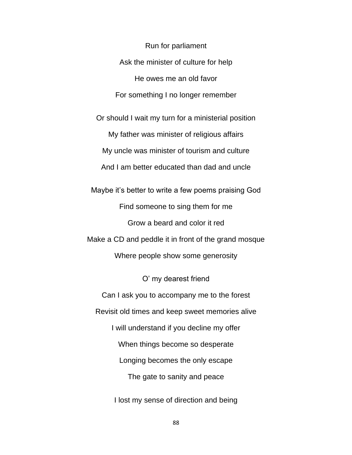Run for parliament Ask the minister of culture for help He owes me an old favor For something I no longer remember Or should I wait my turn for a ministerial position My father was minister of religious affairs

My uncle was minister of tourism and culture

And I am better educated than dad and uncle

Maybe it's better to write a few poems praising God Find someone to sing them for me Grow a beard and color it red Make a CD and peddle it in front of the grand mosque Where people show some generosity

O' my dearest friend Can I ask you to accompany me to the forest Revisit old times and keep sweet memories alive I will understand if you decline my offer When things become so desperate Longing becomes the only escape The gate to sanity and peace

I lost my sense of direction and being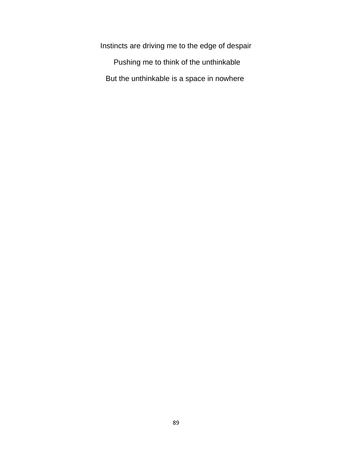Instincts are driving me to the edge of despair Pushing me to think of the unthinkable But the unthinkable is a space in nowhere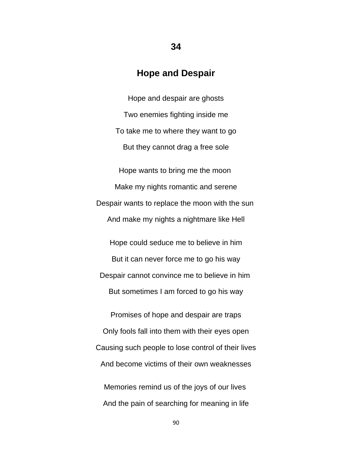#### **Hope and Despair**

**34**

Hope and despair are ghosts Two enemies fighting inside me To take me to where they want to go But they cannot drag a free sole

Hope wants to bring me the moon Make my nights romantic and serene Despair wants to replace the moon with the sun And make my nights a nightmare like Hell

Hope could seduce me to believe in him But it can never force me to go his way Despair cannot convince me to believe in him But sometimes I am forced to go his way

Promises of hope and despair are traps Only fools fall into them with their eyes open Causing such people to lose control of their lives And become victims of their own weaknesses

Memories remind us of the joys of our lives And the pain of searching for meaning in life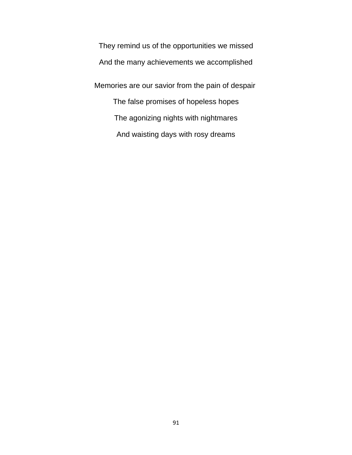They remind us of the opportunities we missed And the many achievements we accomplished Memories are our savior from the pain of despair The false promises of hopeless hopes The agonizing nights with nightmares And waisting days with rosy dreams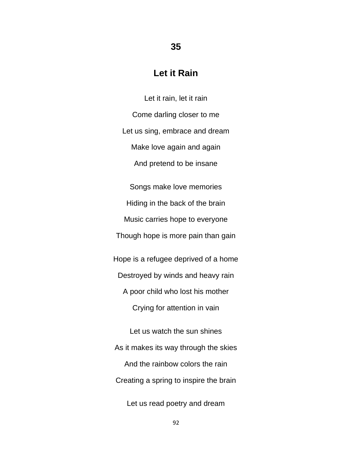#### **Let it Rain**

**35**

Let it rain, let it rain Come darling closer to me Let us sing, embrace and dream Make love again and again And pretend to be insane Songs make love memories Hiding in the back of the brain Music carries hope to everyone Though hope is more pain than gain Hope is a refugee deprived of a home Destroyed by winds and heavy rain A poor child who lost his mother Crying for attention in vain Let us watch the sun shines As it makes its way through the skies And the rainbow colors the rain

Creating a spring to inspire the brain

Let us read poetry and dream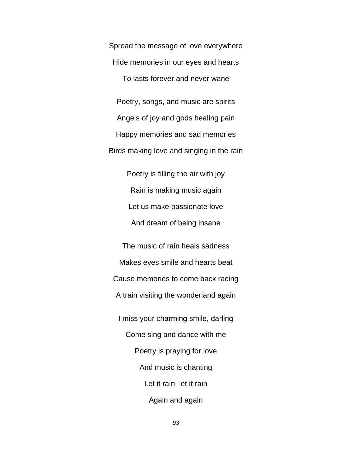Spread the message of love everywhere Hide memories in our eyes and hearts To lasts forever and never wane Poetry, songs, and music are spirits Angels of joy and gods healing pain Happy memories and sad memories Birds making love and singing in the rain

> Poetry is filling the air with joy Rain is making music again Let us make passionate love And dream of being insane

The music of rain heals sadness Makes eyes smile and hearts beat Cause memories to come back racing A train visiting the wonderland again I miss your charming smile, darling Come sing and dance with me Poetry is praying for love And music is chanting Let it rain, let it rain Again and again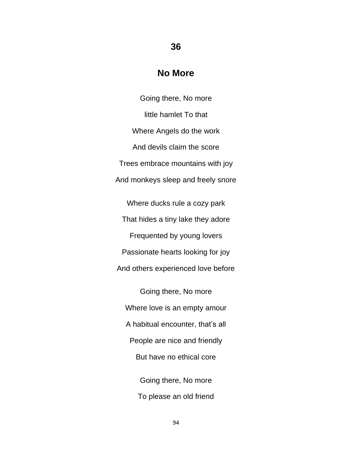#### **No More**

**36**

Going there, No more little hamlet To that Where Angels do the work And devils claim the score Trees embrace mountains with joy And monkeys sleep and freely snore

Where ducks rule a cozy park That hides a tiny lake they adore Frequented by young lovers Passionate hearts looking for joy And others experienced love before

Going there, No more Where love is an empty amour A habitual encounter, that's all People are nice and friendly But have no ethical core Going there, No more To please an old friend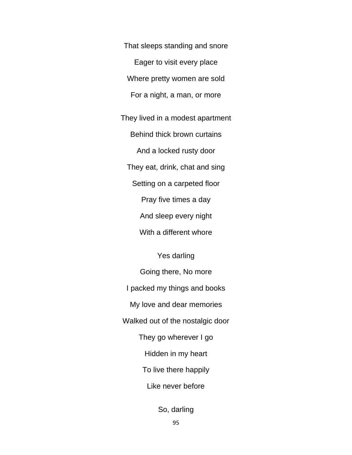That sleeps standing and snore Eager to visit every place Where pretty women are sold For a night, a man, or more

They lived in a modest apartment Behind thick brown curtains And a locked rusty door They eat, drink, chat and sing Setting on a carpeted floor Pray five times a day And sleep every night With a different whore

Yes darling

Going there, No more I packed my things and books My love and dear memories Walked out of the nostalgic door They go wherever I go Hidden in my heart To live there happily Like never before

So, darling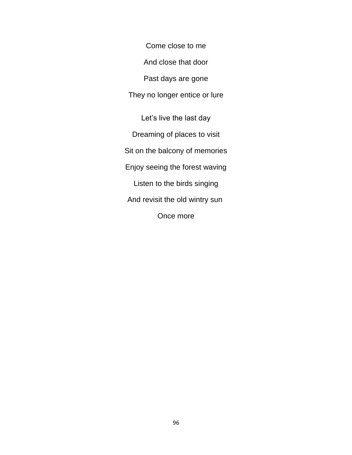Come close to me And close that door Past days are gone They no longer entice or lure Let's live the last day Dreaming of places to visit Sit on the balcony of memories Enjoy seeing the forest waving Listen to the birds singing And revisit the old wintry sun Once more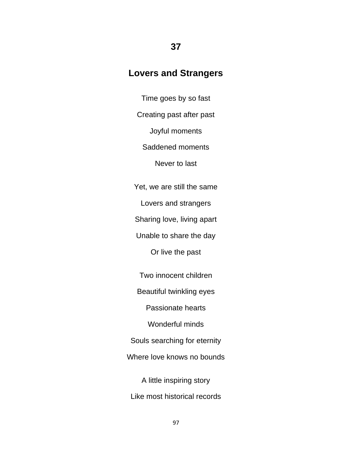#### **Lovers and Strangers**

**37**

Time goes by so fast Creating past after past Joyful moments Saddened moments Never to last Yet, we are still the same Lovers and strangers Sharing love, living apart Unable to share the day Or live the past Two innocent children

Beautiful twinkling eyes

Passionate hearts

Wonderful minds

Souls searching for eternity

Where love knows no bounds

A little inspiring story Like most historical records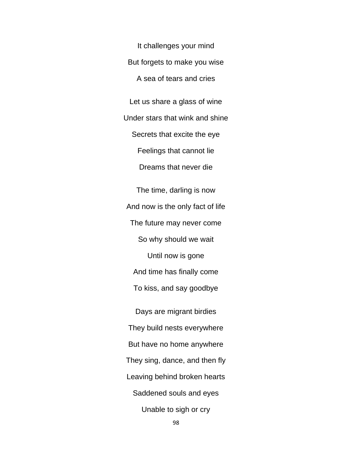It challenges your mind But forgets to make you wise A sea of tears and cries

Let us share a glass of wine Under stars that wink and shine Secrets that excite the eye Feelings that cannot lie Dreams that never die

The time, darling is now And now is the only fact of life The future may never come So why should we wait Until now is gone And time has finally come To kiss, and say goodbye Days are migrant birdies They build nests everywhere

But have no home anywhere

They sing, dance, and then fly

Leaving behind broken hearts

Saddened souls and eyes

Unable to sigh or cry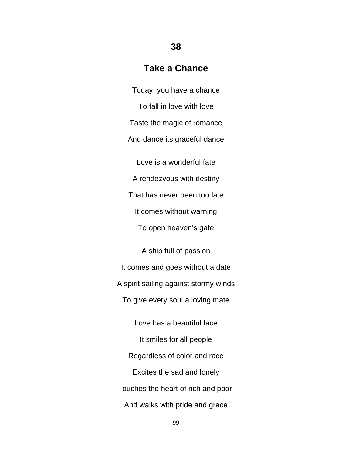### **Take a Chance**

**38**

Today, you have a chance To fall in love with love Taste the magic of romance And dance its graceful dance Love is a wonderful fate A rendezvous with destiny That has never been too late It comes without warning To open heaven's gate

A ship full of passion It comes and goes without a date A spirit sailing against stormy winds To give every soul a loving mate

Love has a beautiful face It smiles for all people Regardless of color and race Excites the sad and lonely Touches the heart of rich and poor And walks with pride and grace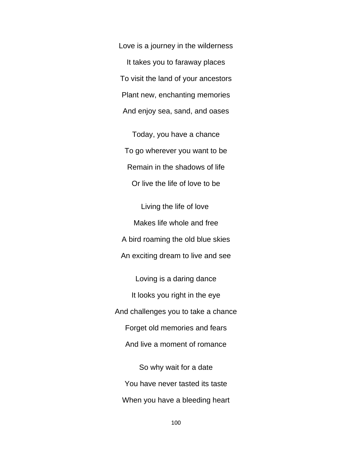Love is a journey in the wilderness It takes you to faraway places To visit the land of your ancestors Plant new, enchanting memories And enjoy sea, sand, and oases

Today, you have a chance To go wherever you want to be Remain in the shadows of life Or live the life of love to be

Living the life of love Makes life whole and free A bird roaming the old blue skies An exciting dream to live and see

Loving is a daring dance It looks you right in the eye And challenges you to take a chance Forget old memories and fears And live a moment of romance

So why wait for a date You have never tasted its taste When you have a bleeding heart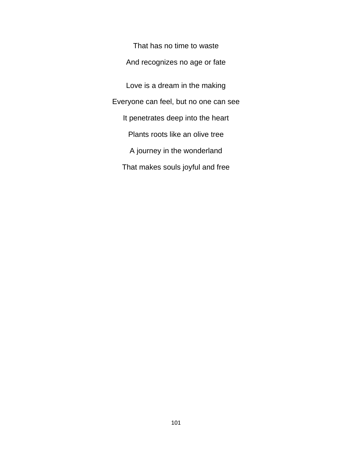That has no time to waste And recognizes no age or fate Love is a dream in the making Everyone can feel, but no one can see It penetrates deep into the heart Plants roots like an olive tree A journey in the wonderland That makes souls joyful and free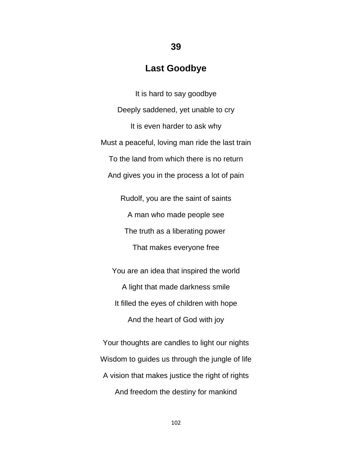#### **Last Goodbye**

**39**

It is hard to say goodbye Deeply saddened, yet unable to cry It is even harder to ask why Must a peaceful, loving man ride the last train To the land from which there is no return And gives you in the process a lot of pain

> Rudolf, you are the saint of saints A man who made people see The truth as a liberating power That makes everyone free

You are an idea that inspired the world A light that made darkness smile It filled the eyes of children with hope And the heart of God with joy

Your thoughts are candles to light our nights Wisdom to guides us through the jungle of life A vision that makes justice the right of rights And freedom the destiny for mankind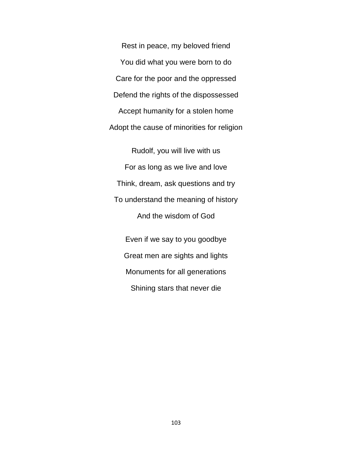Rest in peace, my beloved friend You did what you were born to do Care for the poor and the oppressed Defend the rights of the dispossessed Accept humanity for a stolen home Adopt the cause of minorities for religion

Rudolf, you will live with us For as long as we live and love Think, dream, ask questions and try To understand the meaning of history And the wisdom of God

Even if we say to you goodbye Great men are sights and lights Monuments for all generations Shining stars that never die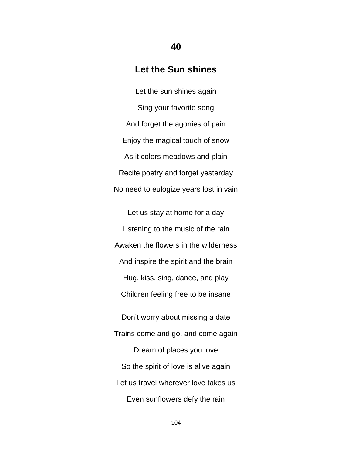#### **Let the Sun shines**

**40**

Let the sun shines again Sing your favorite song And forget the agonies of pain Enjoy the magical touch of snow As it colors meadows and plain Recite poetry and forget yesterday No need to eulogize years lost in vain

Let us stay at home for a day Listening to the music of the rain Awaken the flowers in the wilderness And inspire the spirit and the brain Hug, kiss, sing, dance, and play Children feeling free to be insane Don't worry about missing a date Trains come and go, and come again Dream of places you love So the spirit of love is alive again Let us travel wherever love takes us Even sunflowers defy the rain